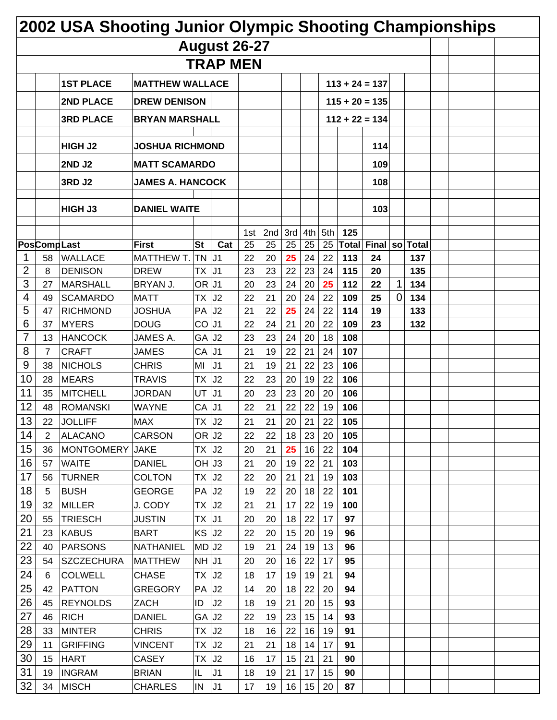|    |                    | 2002 USA Shooting Junior Olympic Shooting Championships |                           |                     |                     |          |           |          |          |          |            |                  |             |            |  |  |
|----|--------------------|---------------------------------------------------------|---------------------------|---------------------|---------------------|----------|-----------|----------|----------|----------|------------|------------------|-------------|------------|--|--|
|    |                    |                                                         |                           |                     | <b>August 26-27</b> |          |           |          |          |          |            |                  |             |            |  |  |
|    |                    |                                                         |                           |                     | <b>TRAP MEN</b>     |          |           |          |          |          |            |                  |             |            |  |  |
|    |                    | <b>1ST PLACE</b>                                        | <b>MATTHEW WALLACE</b>    |                     |                     |          |           |          |          |          |            | $113 + 24 = 137$ |             |            |  |  |
|    |                    | 2ND PLACE                                               | <b>DREW DENISON</b>       |                     |                     |          |           |          |          |          |            | $115 + 20 = 135$ |             |            |  |  |
|    |                    | <b>3RD PLACE</b>                                        | <b>BRYAN MARSHALL</b>     |                     |                     |          |           |          |          |          |            | $112 + 22 = 134$ |             |            |  |  |
|    |                    |                                                         |                           |                     |                     |          |           |          |          |          |            |                  |             |            |  |  |
|    |                    | <b>HIGH J2</b>                                          | <b>JOSHUA RICHMOND</b>    |                     |                     |          |           |          |          |          |            | 114              |             |            |  |  |
|    |                    | <b>2ND J2</b>                                           | <b>MATT SCAMARDO</b>      |                     |                     |          |           |          |          |          |            | 109              |             |            |  |  |
|    |                    | <b>3RD J2</b>                                           | <b>JAMES A. HANCOCK</b>   |                     |                     |          |           |          |          |          |            | 108              |             |            |  |  |
|    |                    |                                                         |                           |                     |                     |          |           |          |          |          |            |                  |             |            |  |  |
|    |                    | HIGH J3                                                 | <b>DANIEL WAITE</b>       |                     |                     |          |           |          |          |          |            | 103              |             |            |  |  |
|    |                    |                                                         |                           |                     |                     | 1st      | $2nd$ 3rd |          | 4th      | 5th      | 125        |                  |             |            |  |  |
|    | <b>PosCompLast</b> |                                                         | <b>First</b>              | <b>St</b>           | Cat                 | 25       | 25        | 25       | 25       | 25       | Total      | Final so Total   |             |            |  |  |
| 2  | 58                 | <b>WALLACE</b>                                          | MATTHEW T.<br><b>DREW</b> | <b>TN</b>           | J1                  | 22       | 20        | 25       | 24       | 22       | 113        | 24               |             | 137<br>135 |  |  |
| 3  | 8<br>27            | <b>DENISON</b><br><b>MARSHALL</b>                       | BRYAN J.                  | <b>TX</b><br>OR J1  | J <sub>1</sub>      | 23<br>20 | 23<br>23  | 22<br>24 | 23<br>20 | 24<br>25 | 115<br>112 | 20<br>22         | 1           | 134        |  |  |
| 4  | 49                 | <b>SCAMARDO</b>                                         | <b>MATT</b>               | ТX                  | J2                  | 22       | 21        | 20       | 24       | 22       | 109        | 25               | $\mathbf 0$ | 134        |  |  |
| 5  | 47                 | <b>RICHMOND</b>                                         | <b>JOSHUA</b>             | PA                  | J2                  | 21       | 22        | 25       | 24       | 22       | 114        | 19               |             | 133        |  |  |
| 6  | 37                 | <b>MYERS</b>                                            | <b>DOUG</b>               | CO                  | J <sub>1</sub>      | 22       | 24        | 21       | 20       | 22       | 109        | 23               |             | 132        |  |  |
| 7  | 13                 | <b>HANCOCK</b>                                          | JAMES A.                  | GA                  | J2                  | 23       | 23        | 24       | 20       | 18       | 108        |                  |             |            |  |  |
| 8  | $\overline{7}$     | <b>CRAFT</b>                                            | <b>JAMES</b>              | CA                  | J <sub>1</sub>      | 21       | 19        | 22       | 21       | 24       | 107        |                  |             |            |  |  |
| 9  | 38                 | <b>NICHOLS</b>                                          | <b>CHRIS</b>              | MI                  | J <sub>1</sub>      | 21       | 19        | 21       | 22       | 23       | 106        |                  |             |            |  |  |
| 10 | 28                 | <b>MEARS</b>                                            | <b>TRAVIS</b>             | ТX                  | J2                  | 22       | 23        | 20       | 19       | 22       | 106        |                  |             |            |  |  |
| 11 | 35                 | <b>MITCHELL</b>                                         | <b>JORDAN</b>             | UT                  | J <sub>1</sub>      | 20       | 23        | 23       | 20       | 20       | 106        |                  |             |            |  |  |
| 12 | 48                 | <b>ROMANSKI</b>                                         | WAYNE                     | CA                  | J <sub>1</sub>      | 22       | 21        | 22       | 22       | 19       | 106        |                  |             |            |  |  |
| 13 | 22                 | JOLLIFF                                                 | MAX                       | TΧ                  | J <sub>2</sub>      | 21       | 21        | 20       | 21       | 22       | 105        |                  |             |            |  |  |
| 14 | $\mathbf{2}$       | ALACANO                                                 | <b>CARSON</b>             | OR J <sub>2</sub>   |                     | 22       | 22        | 18       | 23       | 20       | 105        |                  |             |            |  |  |
| 15 | 36                 | <b>MONTGOMERY</b>                                       | <b>JAKE</b>               | TX J2               |                     | 20       | 21        | 25       | 16       | 22       | 104        |                  |             |            |  |  |
| 16 | 57                 | <b>WAITE</b>                                            | <b>DANIEL</b>             | $OH$ J3             |                     | 21       | 20        | 19       | 22       | 21       | 103        |                  |             |            |  |  |
| 17 | 56                 | <b>TURNER</b>                                           | <b>COLTON</b>             | $TX$ J <sub>2</sub> |                     | 22       | 20        | 21       | 21       | 19       | 103        |                  |             |            |  |  |
| 18 | 5                  | <b>BUSH</b>                                             | <b>GEORGE</b>             | $PA$ J <sub>2</sub> |                     | 19       | 22        | 20       | 18       | 22       | 101        |                  |             |            |  |  |
| 19 | 32                 | <b>MILLER</b>                                           | J. CODY                   | TX J2               |                     | 21       | 21        | 17       | 22       | 19       | 100        |                  |             |            |  |  |
| 20 | 55                 | TRIESCH                                                 | <b>JUSTIN</b>             | $TX$ J1             |                     | 20       | 20        | 18       | 22       | 17       | 97         |                  |             |            |  |  |
| 21 | 23                 | <b>KABUS</b>                                            | <b>BART</b>               | $KS$ J <sub>2</sub> |                     | 22       | 20        | 15       | 20       | 19       | 96         |                  |             |            |  |  |
| 22 | 40                 | <b>PARSONS</b>                                          | <b>NATHANIEL</b>          | MD J2               |                     | 19       | 21        | 24       | 19       | 13       | 96         |                  |             |            |  |  |
| 23 | 54                 | SZCZECHURA                                              | <b>MATTHEW</b>            | $NH \vert J1$       |                     | 20       | 20        | 16       | 22       | 17       | 95         |                  |             |            |  |  |
| 24 | 6                  | <b>COLWELL</b>                                          | <b>CHASE</b>              | $TX$ $J2$           |                     | 18       | 17        | 19       | 19       | 21       | 94         |                  |             |            |  |  |
| 25 | 42                 | PATTON                                                  | <b>GREGORY</b>            | PA J <sub>2</sub>   |                     | 14       | 20        | 18       | 22       | 20       | 94         |                  |             |            |  |  |
| 26 | 45                 | <b>REYNOLDS</b>                                         | ZACH                      | ID                  | J2                  | 18       | 19        | 21       | 20       | 15       | 93         |                  |             |            |  |  |
| 27 | 46                 | <b>RICH</b>                                             | <b>DANIEL</b>             | GA J <sub>2</sub>   |                     | 22       | 19        | 23       | 15       | 14       | 93         |                  |             |            |  |  |
| 28 | 33                 | <b>MINTER</b>                                           | <b>CHRIS</b>              | $TX$ J <sub>2</sub> |                     | 18       | 16        | 22       | 16       | 19       | 91         |                  |             |            |  |  |
| 29 | 11                 | <b>GRIFFING</b>                                         | <b>VINCENT</b>            | $TX$ J <sub>2</sub> |                     | 21       | 21        | 18       | 14       | 17       | 91         |                  |             |            |  |  |
| 30 | 15                 | <b>HART</b>                                             | <b>CASEY</b>              | TX                  | J <sub>2</sub>      | 16       | 17        | 15       | 21       | 21       | 90         |                  |             |            |  |  |
| 31 | 19                 | <b>INGRAM</b>                                           | <b>BRIAN</b>              | IL.                 | J <sub>1</sub>      | 18       | 19        | 21       | 17       | 15       | 90         |                  |             |            |  |  |
| 32 | 34                 | <b>MISCH</b>                                            | <b>CHARLES</b>            | IN                  | J1                  | 17       | 19        | 16       | 15       | 20       | 87         |                  |             |            |  |  |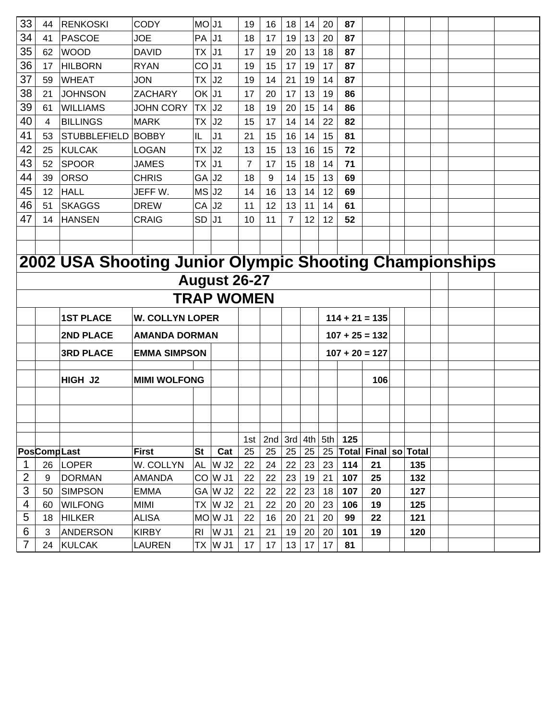| 33             | 44                 | <b>RENKOSKI</b>                                         | <b>CODY</b>            | MO J1             |                               | 19             | 16                | 18             | 14        | 20        | 87        |                             |            |  |
|----------------|--------------------|---------------------------------------------------------|------------------------|-------------------|-------------------------------|----------------|-------------------|----------------|-----------|-----------|-----------|-----------------------------|------------|--|
| 34             | 41                 | <b>PASCOE</b>                                           | <b>JOE</b>             | PA                | IJ1                           | 18             | 17                | 19             | 13        | 20        | 87        |                             |            |  |
| 35             | 62                 | <b>WOOD</b>                                             | <b>DAVID</b>           | TX                | J <sub>1</sub>                | 17             | 19                | 20             | 13        | 18        | 87        |                             |            |  |
| 36             | 17                 | <b>HILBORN</b>                                          | <b>RYAN</b>            | CO J1             |                               | 19             | 15                | 17             | 19        | 17        | 87        |                             |            |  |
| 37             | 59                 | <b>WHEAT</b>                                            | <b>JON</b>             | TX                | J2                            | 19             | 14                | 21             | 19        | 14        | 87        |                             |            |  |
| 38             | 21                 | <b>JOHNSON</b>                                          | <b>ZACHARY</b>         | $OK$ J1           |                               | 17             | 20                | 17             | 13        | 19        | 86        |                             |            |  |
| 39             | 61                 | <b>WILLIAMS</b>                                         | <b>JOHN CORY</b>       | TX                | J2                            | 18             | 19                | 20             | 15        | 14        | 86        |                             |            |  |
| 40             | 4                  | <b>BILLINGS</b>                                         | <b>MARK</b>            | ТX                | J2                            | 15             | 17                | 14             | 14        | 22        | 82        |                             |            |  |
| 41             | 53                 | <b>STUBBLEFIELD</b>                                     | <b>BOBBY</b>           | IL.               | J <sub>1</sub>                | 21             | 15                | 16             | 14        | 15        | 81        |                             |            |  |
| 42             | 25                 | <b>KULCAK</b>                                           | <b>LOGAN</b>           | ТX                | J <sub>2</sub>                | 13             | 15                | 13             | 16        | 15        | 72        |                             |            |  |
| 43             | 52                 | <b>SPOOR</b>                                            | <b>JAMES</b>           | TX                | J <sub>1</sub>                | $\overline{7}$ | 17                | 15             | 18        | 14        | 71        |                             |            |  |
| 44             | 39                 | <b>ORSO</b>                                             | <b>CHRIS</b>           | GA                | J2                            | 18             | 9                 | 14             | 15        | 13        | 69        |                             |            |  |
| 45             | 12                 | <b>HALL</b>                                             | JEFF W.                | MS J <sub>2</sub> |                               | 14             | 16                | 13             | 14        | 12        | 69        |                             |            |  |
| 46             | 51                 | <b>SKAGGS</b>                                           | <b>DREW</b>            | CA                | J <sub>2</sub>                | 11             | 12                | 13             | 11        | 14        | 61        |                             |            |  |
| 47             | 14                 | <b>HANSEN</b>                                           | <b>CRAIG</b>           | <b>SD</b>         | J <sub>1</sub>                | 10             | 11                | $\overline{7}$ | 12        | 12        | 52        |                             |            |  |
|                |                    |                                                         |                        |                   |                               |                |                   |                |           |           |           |                             |            |  |
|                |                    |                                                         |                        |                   |                               |                |                   |                |           |           |           |                             |            |  |
|                |                    | 2002 USA Shooting Junior Olympic Shooting Championships |                        |                   |                               |                |                   |                |           |           |           |                             |            |  |
|                |                    |                                                         |                        |                   | <b>August 26-27</b>           |                |                   |                |           |           |           |                             |            |  |
|                |                    |                                                         |                        |                   |                               |                |                   |                |           |           |           |                             |            |  |
|                |                    |                                                         |                        |                   | <b>TRAP WOMEN</b>             |                |                   |                |           |           |           |                             |            |  |
|                |                    | <b>1ST PLACE</b>                                        | <b>W. COLLYN LOPER</b> |                   |                               |                |                   |                |           |           |           | $114 + 21 = 135$            |            |  |
|                |                    | 2ND PLACE                                               | <b>AMANDA DORMAN</b>   |                   |                               |                |                   |                |           |           |           | $107 + 25 = 132$            |            |  |
|                |                    | <b>3RD PLACE</b>                                        | <b>EMMA SIMPSON</b>    |                   |                               |                |                   |                |           |           |           | $107 + 20 = 127$            |            |  |
|                |                    |                                                         |                        |                   |                               |                |                   |                |           |           |           |                             |            |  |
|                |                    | HIGH J2                                                 | <b>MIMI WOLFONG</b>    |                   |                               |                |                   |                |           |           |           | 106                         |            |  |
|                |                    |                                                         |                        |                   |                               |                |                   |                |           |           |           |                             |            |  |
|                |                    |                                                         |                        |                   |                               |                |                   |                |           |           |           |                             |            |  |
|                |                    |                                                         |                        |                   |                               |                |                   |                |           |           |           |                             |            |  |
|                |                    |                                                         |                        |                   |                               |                |                   |                |           |           |           |                             |            |  |
|                | <b>PosCompLast</b> |                                                         | First                  | <b>St</b>         | Cat                           | 1st<br>25      | 2nd $ 3rd $<br>25 | 25             | 4th<br>25 | 5th<br>25 | 125       | <b>Total Final so Total</b> |            |  |
|                |                    |                                                         |                        |                   |                               |                |                   |                |           |           |           |                             |            |  |
| 1              | 26                 | <b>LOPER</b>                                            | W. COLLYN              | <b>AL</b>         | W J <sub>2</sub>              | 22             | 24                | 22             | 23        | 23        | 114       | 21                          | 135        |  |
| $\overline{2}$ | 9                  | <b>DORMAN</b>                                           | <b>AMANDA</b>          |                   | $CO$ $W$ J1                   | 22             | 22                | 23             | 19        | 21        | 107       | 25                          | 132        |  |
| 3              | 50                 | <b>SIMPSON</b>                                          | <b>EMMA</b>            |                   | GA W J2                       | 22             | 22                | 22             | 23        | 18        | 107       | 20                          | 127        |  |
| 4<br>5         | 60                 | <b>WILFONG</b><br><b>HILKER</b>                         | MIMI<br><b>ALISA</b>   | TX                | W J <sub>2</sub><br>$MO$ W J1 | 21<br>22       | 22<br>16          | 20<br>20       | 20<br>21  | 23<br>20  | 106<br>99 | 19<br>22                    | 125<br>121 |  |
| 6              | 18                 |                                                         |                        |                   |                               |                |                   |                |           |           |           |                             |            |  |
| $\overline{7}$ | 3                  | <b>ANDERSON</b>                                         | <b>KIRBY</b>           | <b>RI</b>         | W J1                          | 21             | 21                | 19             | 20        | 20        | 101       | 19                          | 120        |  |
|                | 24                 | <b>KULCAK</b>                                           | <b>LAUREN</b>          | ТX                | W J1                          | 17             | 17                | 13             | 17        | 17        | 81        |                             |            |  |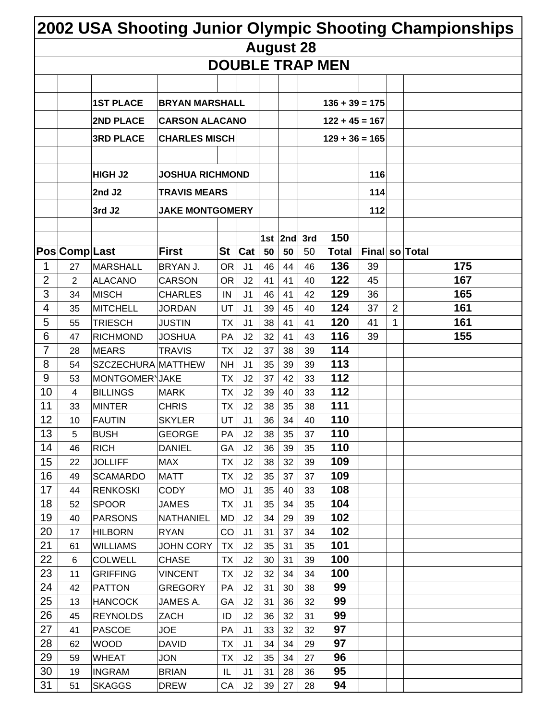|          |                      |                                   |                           |                        |                       |                  |           |          |                        |     |                | 2002 USA Shooting Junior Olympic Shooting Championships |
|----------|----------------------|-----------------------------------|---------------------------|------------------------|-----------------------|------------------|-----------|----------|------------------------|-----|----------------|---------------------------------------------------------|
|          |                      |                                   |                           |                        |                       | <b>August 28</b> |           |          |                        |     |                |                                                         |
|          |                      |                                   |                           |                        |                       |                  |           |          | <b>DOUBLE TRAP MEN</b> |     |                |                                                         |
|          |                      |                                   |                           |                        |                       |                  |           |          |                        |     |                |                                                         |
|          |                      | <b>1ST PLACE</b>                  | <b>BRYAN MARSHALL</b>     |                        |                       |                  |           |          | $136 + 39 = 175$       |     |                |                                                         |
|          |                      | 2ND PLACE                         | <b>CARSON ALACANO</b>     |                        |                       |                  |           |          | $122 + 45 = 167$       |     |                |                                                         |
|          |                      |                                   |                           |                        |                       |                  |           |          |                        |     |                |                                                         |
|          |                      | <b>3RD PLACE</b>                  | <b>CHARLES MISCH</b>      |                        |                       |                  |           |          | $129 + 36 = 165$       |     |                |                                                         |
|          |                      |                                   |                           |                        |                       |                  |           |          |                        |     |                |                                                         |
|          |                      | <b>HIGH J2</b>                    | <b>JOSHUA RICHMOND</b>    |                        |                       |                  |           |          |                        | 116 |                |                                                         |
|          |                      | 2nd J2                            | <b>TRAVIS MEARS</b>       |                        |                       |                  |           |          |                        | 114 |                |                                                         |
|          |                      | 3rd J <sub>2</sub>                | <b>JAKE MONTGOMERY</b>    |                        |                       |                  |           |          |                        | 112 |                |                                                         |
|          |                      |                                   |                           |                        |                       |                  |           |          |                        |     |                |                                                         |
|          | <b>Pos Comp Last</b> |                                   | <b>First</b>              | <b>St</b>              |                       |                  | 1st $2nd$ | 3rd      | 150                    |     |                | Final so Total                                          |
| 1        | 27                   | <b>MARSHALL</b>                   | BRYAN J.                  | <b>OR</b>              | Cat<br>J <sub>1</sub> | 50<br>46         | 50<br>44  | 50<br>46 | <b>Total</b><br>136    | 39  |                | 175                                                     |
| 2        | 2                    | <b>ALACANO</b>                    | <b>CARSON</b>             | <b>OR</b>              | J2                    | 41               | 41        | 40       | 122                    | 45  |                | 167                                                     |
| 3        | 34                   | <b>MISCH</b>                      | <b>CHARLES</b>            | IN                     | J <sub>1</sub>        | 46               | 41        | 42       | 129                    | 36  |                | 165                                                     |
| 4        | 35                   | <b>MITCHELL</b>                   | JORDAN                    | UT                     | J <sub>1</sub>        | 39               | 45        | 40       | 124                    | 37  | $\overline{2}$ | 161                                                     |
| 5        | 55                   | <b>TRIESCH</b>                    | <b>JUSTIN</b>             | <b>TX</b>              | J <sub>1</sub>        | 38               | 41        | 41       | 120                    | 41  | 1              | 161                                                     |
| 6        | 47                   | <b>RICHMOND</b>                   | <b>JOSHUA</b>             | PA                     | J2                    | 32               | 41        | 43       | 116                    | 39  |                | 155                                                     |
| 7        | 28                   | <b>MEARS</b>                      | <b>TRAVIS</b>             | <b>TX</b>              | J2                    | 37               | 38        | 39       | 114                    |     |                |                                                         |
| 8        | 54                   | SZCZECHURA MATTHEW                |                           | <b>NH</b>              | J <sub>1</sub>        | 35               | 39        | 39       | 113                    |     |                |                                                         |
| 9        | 53                   | MONTGOMER\JAKE                    |                           | <b>TX</b>              | J2                    | 37               | 42        | 33       | 112                    |     |                |                                                         |
| 10       | 4                    | <b>BILLINGS</b>                   | <b>MARK</b>               | <b>TX</b>              | J2                    | 39               | 40        | 33       | 112                    |     |                |                                                         |
| 11       | 33                   | <b>MINTER</b>                     | <b>CHRIS</b>              | ТX                     | J2                    | 38               | 35        | 38       | 111                    |     |                |                                                         |
| 12       | 10                   | <b>FAUTIN</b>                     | <b>SKYLER</b>             | UT                     | J <sub>1</sub>        | 36               | 34        | 40       | 110                    |     |                |                                                         |
| 13       | 5                    | <b>BUSH</b>                       | <b>GEORGE</b>             | PA                     | J2                    | 38               | 35        | 37       | 110                    |     |                |                                                         |
| 14       | 46                   | <b>RICH</b>                       | <b>DANIEL</b>             | GA                     | J2                    | 36               | 39        | 35       | 110                    |     |                |                                                         |
| 15<br>16 | 22<br>49             | <b>JOLLIFF</b><br><b>SCAMARDO</b> | <b>MAX</b><br><b>MATT</b> | <b>TX</b><br><b>TX</b> | J <sub>2</sub><br>J2  | 38<br>35         | 32<br>37  | 39<br>37 | 109<br>109             |     |                |                                                         |
| 17       | 44                   | <b>RENKOSKI</b>                   | <b>CODY</b>               | <b>MO</b>              | J <sub>1</sub>        | 35               | 40        | 33       | 108                    |     |                |                                                         |
| 18       | 52                   | <b>SPOOR</b>                      | <b>JAMES</b>              | <b>TX</b>              | J <sub>1</sub>        | 35               | 34        | 35       | 104                    |     |                |                                                         |
| 19       | 40                   | <b>PARSONS</b>                    | <b>NATHANIEL</b>          | MD                     | J2                    | 34               | 29        | 39       | 102                    |     |                |                                                         |
| 20       | 17                   | <b>HILBORN</b>                    | <b>RYAN</b>               | CO                     | J <sub>1</sub>        | 31               | 37        | 34       | 102                    |     |                |                                                         |
| 21       | 61                   | <b>WILLIAMS</b>                   | <b>JOHN CORY</b>          | <b>TX</b>              | J2                    | 35               | 31        | 35       | 101                    |     |                |                                                         |
| 22       | 6                    | <b>COLWELL</b>                    | <b>CHASE</b>              | <b>TX</b>              | J2                    | 30               | 31        | 39       | 100                    |     |                |                                                         |
| 23       | 11                   | <b>GRIFFING</b>                   | <b>VINCENT</b>            | <b>TX</b>              | J <sub>2</sub>        | 32               | 34        | 34       | 100                    |     |                |                                                         |
| 24       | 42                   | <b>PATTON</b>                     | <b>GREGORY</b>            | PA                     | J2                    | 31               | 30        | 38       | 99                     |     |                |                                                         |
| 25       | 13                   | <b>HANCOCK</b>                    | JAMES A.                  | GA                     | J2                    | 31               | 36        | 32       | 99                     |     |                |                                                         |
| 26       | 45                   | <b>REYNOLDS</b>                   | ZACH                      | ID                     | J2                    | 36               | 32        | 31       | 99                     |     |                |                                                         |
| 27       | 41                   | <b>PASCOE</b>                     | <b>JOE</b>                | PA                     | J <sub>1</sub>        | 33               | 32        | 32       | 97                     |     |                |                                                         |
| 28       | 62                   | <b>WOOD</b>                       | <b>DAVID</b>              | <b>TX</b>              | J <sub>1</sub>        | 34               | 34        | 29       | 97                     |     |                |                                                         |
| 29       | 59                   | <b>WHEAT</b>                      | <b>JON</b>                | <b>TX</b>              | J2                    | 35               | 34        | 27       | 96                     |     |                |                                                         |
| 30<br>31 | 19                   | <b>INGRAM</b>                     | <b>BRIAN</b>              | IL                     | J <sub>1</sub>        | 31               | 28        | 36       | 95<br>94               |     |                |                                                         |
|          | 51                   | <b>SKAGGS</b>                     | <b>DREW</b>               | СA                     | J2                    | 39               | 27        | 28       |                        |     |                |                                                         |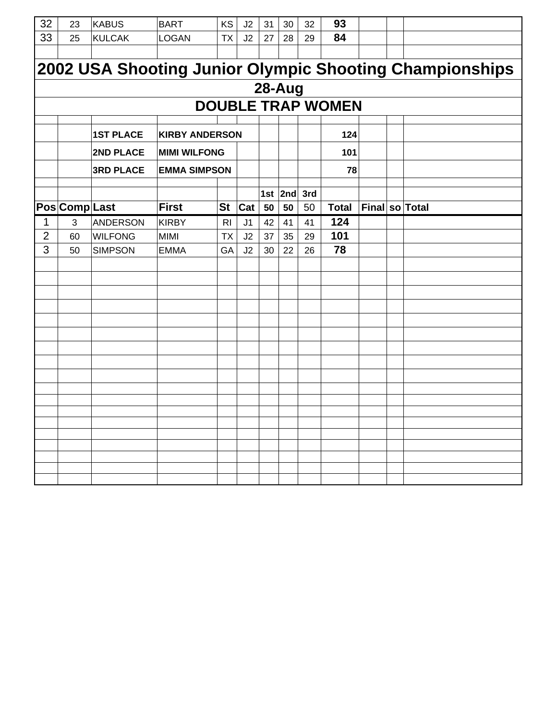| 32             | 23            | <b>KABUS</b>     | <b>BART</b>           | KS        | J2             | 31 | 30          | 32  | 93                       |                |                                                         |
|----------------|---------------|------------------|-----------------------|-----------|----------------|----|-------------|-----|--------------------------|----------------|---------------------------------------------------------|
| 33             | 25            | <b>KULCAK</b>    | <b>LOGAN</b>          | <b>TX</b> | J2             | 27 | 28          | 29  | 84                       |                |                                                         |
|                |               |                  |                       |           |                |    |             |     |                          |                |                                                         |
|                |               |                  |                       |           |                |    |             |     |                          |                | 2002 USA Shooting Junior Olympic Shooting Championships |
|                |               |                  |                       |           |                |    | 28-Aug      |     |                          |                |                                                         |
|                |               |                  |                       |           |                |    |             |     | <b>DOUBLE TRAP WOMEN</b> |                |                                                         |
|                |               |                  |                       |           |                |    |             |     |                          |                |                                                         |
|                |               | <b>1ST PLACE</b> | <b>KIRBY ANDERSON</b> |           |                |    |             |     | 124                      |                |                                                         |
|                |               | 2ND PLACE        | <b>MIMI WILFONG</b>   |           |                |    |             |     | 101                      |                |                                                         |
|                |               | <b>3RD PLACE</b> | <b>EMMA SIMPSON</b>   |           |                |    |             |     | 78                       |                |                                                         |
|                |               |                  |                       |           |                |    | 1st $ 2nd $ | 3rd |                          |                |                                                         |
|                | Pos Comp Last |                  | <b>First</b>          | <b>St</b> | Cat            | 50 | 50          | 50  | <b>Total</b>             | Final so Total |                                                         |
| $\mathbf 1$    | 3             | <b>ANDERSON</b>  | <b>KIRBY</b>          | <b>RI</b> | J <sub>1</sub> | 42 | 41          | 41  | 124                      |                |                                                         |
| $\overline{2}$ | 60            | <b>WILFONG</b>   | <b>MIMI</b>           | <b>TX</b> | J2             | 37 | 35          | 29  | 101                      |                |                                                         |
| 3              | 50            | <b>SIMPSON</b>   | <b>EMMA</b>           | GA        | J2             | 30 | 22          | 26  | 78                       |                |                                                         |
|                |               |                  |                       |           |                |    |             |     |                          |                |                                                         |
|                |               |                  |                       |           |                |    |             |     |                          |                |                                                         |
|                |               |                  |                       |           |                |    |             |     |                          |                |                                                         |
|                |               |                  |                       |           |                |    |             |     |                          |                |                                                         |
|                |               |                  |                       |           |                |    |             |     |                          |                |                                                         |
|                |               |                  |                       |           |                |    |             |     |                          |                |                                                         |
|                |               |                  |                       |           |                |    |             |     |                          |                |                                                         |
|                |               |                  |                       |           |                |    |             |     |                          |                |                                                         |
|                |               |                  |                       |           |                |    |             |     |                          |                |                                                         |
|                |               |                  |                       |           |                |    |             |     |                          |                |                                                         |
|                |               |                  |                       |           |                |    |             |     |                          |                |                                                         |
|                |               |                  |                       |           |                |    |             |     |                          |                |                                                         |
|                |               |                  |                       |           |                |    |             |     |                          |                |                                                         |
|                |               |                  |                       |           |                |    |             |     |                          |                |                                                         |
|                |               |                  |                       |           |                |    |             |     |                          |                |                                                         |
|                |               |                  |                       |           |                |    |             |     |                          |                |                                                         |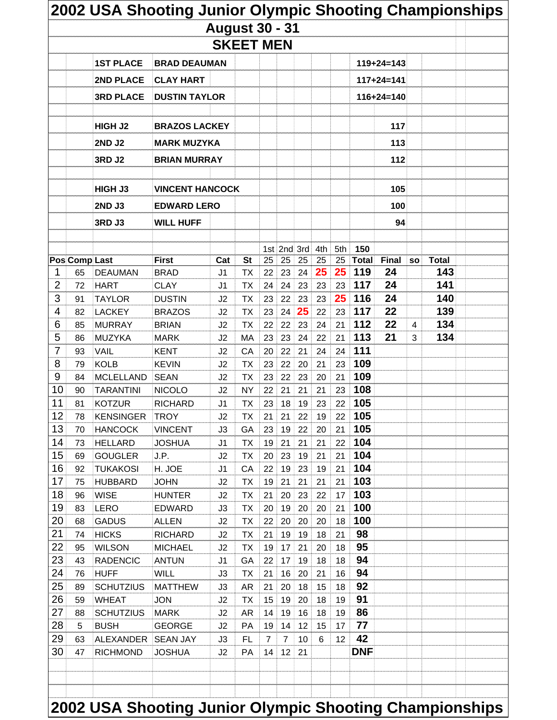| <b>Pos Comp Last</b><br>1<br>2<br>3<br>4<br>6 | 65<br>72<br>91 | <b>1ST PLACE</b><br>2ND PLACE<br><b>3RD PLACE</b><br><b>HIGH J2</b><br><b>2ND J2</b><br><b>3RD J2</b><br>HIGH J3<br><b>2ND J3</b><br><b>3RD J3</b><br><b>DEAUMAN</b> | <b>BRAD DEAUMAN</b><br><b>CLAY HART</b><br><b>DUSTIN TAYLOR</b><br><b>BRAZOS LACKEY</b><br><b>MARK MUZYKA</b><br><b>BRIAN MURRAY</b><br><b>VINCENT HANCOCK</b><br><b>EDWARD LERO</b><br><b>WILL HUFF</b><br><b>First</b> | <b>August 30 - 31</b> | <b>SKEET MEN</b>       |          |                 |          |          |          |              | $119 + 24 = 143$<br>$117 + 24 = 141$<br>$116 + 24 = 140$<br>117<br>113 |                |                     |  |
|-----------------------------------------------|----------------|----------------------------------------------------------------------------------------------------------------------------------------------------------------------|--------------------------------------------------------------------------------------------------------------------------------------------------------------------------------------------------------------------------|-----------------------|------------------------|----------|-----------------|----------|----------|----------|--------------|------------------------------------------------------------------------|----------------|---------------------|--|
|                                               |                |                                                                                                                                                                      |                                                                                                                                                                                                                          |                       |                        |          |                 |          |          |          |              |                                                                        |                |                     |  |
|                                               |                |                                                                                                                                                                      |                                                                                                                                                                                                                          |                       |                        |          |                 |          |          |          |              |                                                                        |                |                     |  |
|                                               |                |                                                                                                                                                                      |                                                                                                                                                                                                                          |                       |                        |          |                 |          |          |          |              |                                                                        |                |                     |  |
|                                               |                |                                                                                                                                                                      |                                                                                                                                                                                                                          |                       |                        |          |                 |          |          |          |              |                                                                        |                |                     |  |
|                                               |                |                                                                                                                                                                      |                                                                                                                                                                                                                          |                       |                        |          |                 |          |          |          |              |                                                                        |                |                     |  |
|                                               |                |                                                                                                                                                                      |                                                                                                                                                                                                                          |                       |                        |          |                 |          |          |          |              |                                                                        |                |                     |  |
|                                               |                |                                                                                                                                                                      |                                                                                                                                                                                                                          |                       |                        |          |                 |          |          |          |              |                                                                        |                |                     |  |
|                                               |                |                                                                                                                                                                      |                                                                                                                                                                                                                          |                       |                        |          |                 |          |          |          |              |                                                                        |                |                     |  |
|                                               |                |                                                                                                                                                                      |                                                                                                                                                                                                                          |                       |                        |          |                 |          |          |          |              |                                                                        |                |                     |  |
|                                               |                |                                                                                                                                                                      |                                                                                                                                                                                                                          |                       |                        |          |                 |          |          |          |              | 112                                                                    |                |                     |  |
|                                               |                |                                                                                                                                                                      |                                                                                                                                                                                                                          |                       |                        |          |                 |          |          |          |              |                                                                        |                |                     |  |
|                                               |                |                                                                                                                                                                      |                                                                                                                                                                                                                          |                       |                        |          |                 |          |          |          |              | 105                                                                    |                |                     |  |
|                                               |                |                                                                                                                                                                      |                                                                                                                                                                                                                          |                       |                        |          |                 |          |          |          |              | 100                                                                    |                |                     |  |
|                                               |                |                                                                                                                                                                      |                                                                                                                                                                                                                          |                       |                        |          |                 |          |          |          |              | 94                                                                     |                |                     |  |
|                                               |                |                                                                                                                                                                      |                                                                                                                                                                                                                          |                       |                        |          |                 |          |          |          |              |                                                                        |                |                     |  |
|                                               |                |                                                                                                                                                                      |                                                                                                                                                                                                                          |                       |                        |          | 1st 2nd 3rd 4th |          |          | 5th      | 150          |                                                                        |                |                     |  |
|                                               |                |                                                                                                                                                                      |                                                                                                                                                                                                                          | Cat                   | <b>St</b>              | 25       | 25              | 25       | 25<br>25 | 25<br>25 | Total<br>119 | <b>Final</b><br>24                                                     | <b>SO</b>      | <b>Total</b><br>143 |  |
|                                               |                | <b>HART</b>                                                                                                                                                          | <b>BRAD</b><br><b>CLAY</b>                                                                                                                                                                                               | J1<br>J1              | <b>TX</b><br><b>TX</b> | 22<br>24 | 23<br>24        | 24<br>23 | 23       | 23       | 117          | 24                                                                     |                | 141                 |  |
|                                               |                | <b>TAYLOR</b>                                                                                                                                                        | <b>DUSTIN</b>                                                                                                                                                                                                            | J2                    | <b>TX</b>              | 23       | 22              | 23       | 23       | 25       | 116          | 24                                                                     |                | 140                 |  |
|                                               | 82             | <b>LACKEY</b>                                                                                                                                                        | <b>BRAZOS</b>                                                                                                                                                                                                            | J2                    | <b>TX</b>              | 23       | 24              | 25       | 22       | 23       | 117          | 22                                                                     |                | 139                 |  |
|                                               | 85             | <b>MURRAY</b>                                                                                                                                                        | <b>BRIAN</b>                                                                                                                                                                                                             | J2                    | <b>TX</b>              | 22       | 22              | 23       | 24       | 21       | 112          | 22                                                                     | $\overline{4}$ | 134                 |  |
| 5                                             | 86             | <b>MUZYKA</b>                                                                                                                                                        | <b>MARK</b>                                                                                                                                                                                                              | J2                    | MA                     | 23       | 23              | 24       | 22       | 21       | 113          | 21                                                                     | 3              | 134                 |  |
| 7                                             | 93             | VAIL                                                                                                                                                                 | <b>KENT</b>                                                                                                                                                                                                              | J2                    | CA                     | 20       | 22              | 21       | 24       | 24       | 111          |                                                                        |                |                     |  |
| 8                                             | 79             | <b>KOLB</b>                                                                                                                                                          | <b>KEVIN</b>                                                                                                                                                                                                             | J2                    | <b>TX</b>              | 23       | 22              | 20       | 21       | 23       | 109          |                                                                        |                |                     |  |
| 9                                             | 84             | <b>MCLELLAND</b>                                                                                                                                                     | <b>SEAN</b>                                                                                                                                                                                                              | J2                    | <b>TX</b>              | 23       | 22              | 23       | 20       | 21       | 109          |                                                                        |                |                     |  |
| 10                                            | 90             | <b>TARANTINI</b>                                                                                                                                                     | <b>NICOLO</b>                                                                                                                                                                                                            | J2                    | <b>NY</b>              | 22       | 21              | 21       | 21       | 23       | 108          |                                                                        |                |                     |  |
| 11                                            | 81             | <b>KOTZUR</b>                                                                                                                                                        | <b>RICHARD</b>                                                                                                                                                                                                           | J1                    | <b>TX</b>              | 23       | 18              | 19       | 23       | 22       | 105          |                                                                        |                |                     |  |
| 12                                            | 78             | <b>KENSINGER</b>                                                                                                                                                     | <b>TROY</b>                                                                                                                                                                                                              | J2                    | ТX                     | 21       | 21              | 22       | 19       | 22       | 105          |                                                                        |                |                     |  |
| 13                                            | 70             | <b>HANCOCK</b>                                                                                                                                                       | <b>VINCENT</b>                                                                                                                                                                                                           | JЗ                    | GA                     | 23       | 19              | 22       | 20       | 21       | 105          |                                                                        |                |                     |  |
| 14                                            | 73             | <b>HELLARD</b>                                                                                                                                                       | <b>JOSHUA</b>                                                                                                                                                                                                            | J1                    | <b>TX</b>              | 19       | 21              | 21       | 21       | 22       | 104          |                                                                        |                |                     |  |
| 15<br>16                                      | 69             | <b>GOUGLER</b>                                                                                                                                                       | J.P.                                                                                                                                                                                                                     | J2                    | <b>TX</b>              | 20       | 23              | 19       | 21       | 21       | 104<br>104   |                                                                        |                |                     |  |
| 17                                            | 92<br>75       | <b>TUKAKOSI</b><br><b>HUBBARD</b>                                                                                                                                    | H. JOE<br><b>JOHN</b>                                                                                                                                                                                                    | J1<br>J2              | CA<br><b>TX</b>        | 22<br>19 | 19<br>21        | 23<br>21 | 19<br>21 | 21<br>21 | 103          |                                                                        |                |                     |  |
| 18                                            | 96             | <b>WISE</b>                                                                                                                                                          | <b>HUNTER</b>                                                                                                                                                                                                            | J2                    | ТX                     | 21       | 20              | 23       | 22       | 17       | 103          |                                                                        |                |                     |  |
| 19                                            | 83             | <b>LERO</b>                                                                                                                                                          | <b>EDWARD</b>                                                                                                                                                                                                            | J3                    | <b>TX</b>              | 20       | 19              | 20       | 20       | 21       | 100          |                                                                        |                |                     |  |
| 20                                            | 68             | <b>GADUS</b>                                                                                                                                                         | <b>ALLEN</b>                                                                                                                                                                                                             | J2                    | <b>TX</b>              | 22       | 20              | 20       | 20       | 18       | 100          |                                                                        |                |                     |  |
| 21                                            | 74             | <b>HICKS</b>                                                                                                                                                         | <b>RICHARD</b>                                                                                                                                                                                                           | J2                    | <b>TX</b>              | 21       | 19              | 19       | 18       | 21       | 98           |                                                                        |                |                     |  |
| 22                                            | 95             | <b>WILSON</b>                                                                                                                                                        | <b>MICHAEL</b>                                                                                                                                                                                                           | J2                    | <b>TX</b>              | 19       | 17              | 21       | 20       | 18       | 95           |                                                                        |                |                     |  |
| 23                                            | 43             | <b>RADENCIC</b>                                                                                                                                                      | <b>ANTUN</b>                                                                                                                                                                                                             | J1                    | GA                     | 22       | 17              | 19       | 18       | 18       | 94           |                                                                        |                |                     |  |
| 24                                            | 76             | <b>HUFF</b>                                                                                                                                                          | <b>WILL</b>                                                                                                                                                                                                              | J3                    | <b>TX</b>              | 21       | 16              | 20       | 21       | 16       | 94           |                                                                        |                |                     |  |
| 25                                            | 89             | <b>SCHUTZIUS</b>                                                                                                                                                     | <b>MATTHEW</b>                                                                                                                                                                                                           | JЗ                    | <b>AR</b>              | 21       | 20              | 18       | 15       | 18       | 92           |                                                                        |                |                     |  |
| 26                                            | 59             | <b>WHEAT</b>                                                                                                                                                         | JON                                                                                                                                                                                                                      | J2                    | ТX                     | 15       | 19              | 20       | 18       | 19       | 91           |                                                                        |                |                     |  |
| 27                                            | 88             | <b>SCHUTZIUS</b>                                                                                                                                                     | <b>MARK</b>                                                                                                                                                                                                              | J2                    | <b>AR</b>              | 14       | 19              | 16       | 18       | 19       | 86           |                                                                        |                |                     |  |
| 28                                            | 5              | <b>BUSH</b>                                                                                                                                                          | <b>GEORGE</b>                                                                                                                                                                                                            | J2                    | PA                     | 19       | 14              | 12       | 15       | 17       | 77           |                                                                        |                |                     |  |
| 29                                            | 63             | <b>ALEXANDER</b>                                                                                                                                                     | <b>SEAN JAY</b>                                                                                                                                                                                                          | J3                    | <b>FL</b>              | 7        | 7               | 10       | 6        | 12       | 42           |                                                                        |                |                     |  |
| 30                                            | 47             | <b>RICHMOND</b>                                                                                                                                                      | JOSHUA                                                                                                                                                                                                                   | J2                    | PA                     | 14       | 12              | 21       |          |          | <b>DNF</b>   |                                                                        |                |                     |  |
|                                               |                |                                                                                                                                                                      |                                                                                                                                                                                                                          |                       |                        |          |                 |          |          |          |              |                                                                        |                |                     |  |
|                                               |                |                                                                                                                                                                      |                                                                                                                                                                                                                          |                       |                        |          |                 |          |          |          |              |                                                                        |                |                     |  |
|                                               |                |                                                                                                                                                                      | 2002 USA Shooting Junior Olympic Shooting Championships                                                                                                                                                                  |                       |                        |          |                 |          |          |          |              |                                                                        |                |                     |  |